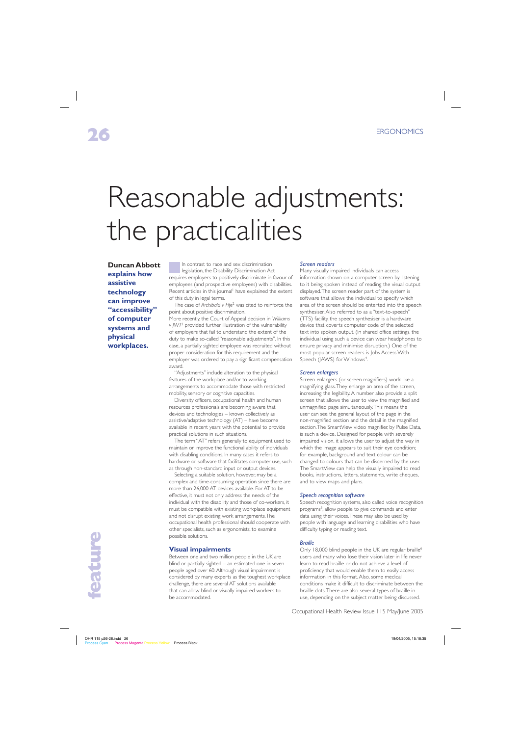# Reasonable adjustments: the practicalities

**Duncan Abbott explains how assistive technology can improve "accessibility" of computer systems and physical workplaces.**

In contrast to race and sex discrimination legislation, the Disability Discrimination Act requires employers to positively discriminate in favour of employees (and prospective employees) with disabilities. Recent articles in this journal<sup>1</sup> have explained the extent of this duty in legal terms.

The case of *Archibald v Fife*<sup>2</sup> was cited to reinforce the point about positive discrimination.

More recently, the Court of Appeal decision in *Williams v JWT*<sup>3</sup> provided further illustration of the vulnerability of employers that fail to understand the extent of the duty to make so-called "reasonable adjustments". In this case, a partially sighted employee was recruited without proper consideration for this requirement and the employer was ordered to pay a significant compensation award.

"Adjustments" include alteration to the physical features of the workplace and/or to working arrangements to accommodate those with restricted mobility, sensory or cognitive capacities.

Diversity officers, occupational health and human resources professionals are becoming aware that devices and technologies – known collectively as assistive/adaptive technology (AT) – have become available in recent years with the potential to provide practical solutions in such situations.

The term "AT" refers generally to equipment used to maintain or improve the functional ability of individuals with disabling conditions. In many cases it refers to hardware or software that facilitates computer use, such as through non-standard input or output devices.

Selecting a suitable solution, however, may be a complex and time-consuming operation since there are more than 26,000 AT devices available. For AT to be effective, it must not only address the needs of the individual with the disability and those of co-workers, it must be compatible with existing workplace equipment and not disrupt existing work arrangements. The occupational health professional should cooperate with other specialists, such as ergonomists, to examine possible solutions.

#### **Visual impairments**

Between one and two million people in the UK are blind or partially sighted – an estimated one in seven people aged over 60. Although visual impairment is considered by many experts as the toughest workplace challenge, there are several AT solutions available that can allow blind or visually impaired workers to be accommodated.

#### *Screen readers*

Many visually impaired individuals can access information shown on a computer screen by listening to it being spoken instead of reading the visual output displayed. The screen reader part of the system is software that allows the individual to specify which area of the screen should be enterted into the speech synthesiser. Also referred to as a "text-to-speech" (TTS) facility, the speech synthesiser is a hardware device that coverts computer code of the selected text into spoken output. (In shared office settings, the individual using such a device can wear headphones to ensure privacy and minimise disruption.) One of the most popular screen readers is Jobs Access With Speech (JAWS) for Windows<sup>4</sup>.

#### *Screen enlargers*

Screen enlargers (or screen magnifiers) work like a magnifying glass. They enlarge an area of the screen, increasing the legibility. A number also provide a split screen that allows the user to view the magnified and unmagnified page simultaneously. This means the user can see the general layout of the page in the non-magnified section and the detail in the magnified section. The SmartView video magnifier, by Pulse Data, is such a device. Designed for people with severely impaired vision, it allows the user to adjust the way in which the image appears to suit their eye condition; for example, background and text colour can be changed to colours that can be discerned by the user. The SmartView can help the visually impaired to read books, instructions, letters, statements, write cheques, and to view maps and plans.

#### *Speech recognition software*

Speech recognition systems, also called voice recognition programs5, allow people to give commands and enter data using their voices. These may also be used by people with language and learning disabilities who have difficulty typing or reading text.

#### *Braille*

Only 18,000 blind people in the UK are regular braille<sup>6</sup> users and many who lose their vision later in life never learn to read braille or do not achieve a level of proficiency that would enable them to easily access information in this format. Also, some medical conditions make it difficult to discriminate between the braille dots. There are also several types of braille in use, depending on the subject matter being discussed.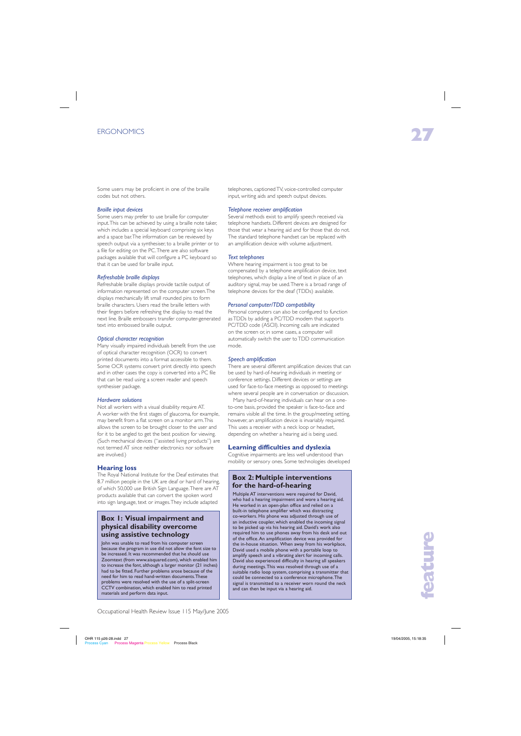Some users may be proficient in one of the braille codes but not others.

# *Braille input devices*

Some users may prefer to use braille for computer input. This can be achieved by using a braille note taker, which includes a special keyboard comprising six keys and a space bar. The information can be reviewed by speech output via a synthesiser, to a braille printer or to a file for editing on the PC. There are also software packages available that will configure a PC keyboard so that it can be used for braille input.

# *Refreshable braille displays*

Refreshable braille displays provide tactile output of information represented on the computer screen. The displays mechanically lift small rounded pins to form braille characters. Users read the braille letters with their fingers before refreshing the display to read the next line. Braille embossers transfer computer-generated text into embossed braille output.

# *Optical character recognition*

Many visually impaired individuals benefit from the use of optical character recognition (OCR) to convert printed documents into a format accessible to them. Some OCR systems convert print directly into speech and in other cases the copy is converted into a PC file that can be read using a screen reader and speech synthesiser package.

# *Hardware solutions*

Not all workers with a visual disability require AT. A worker with the first stages of glaucoma, for example, may benefit from a flat screen on a monitor arm. This allows the screen to be brought closer to the user and for it to be angled to get the best position for viewing. (Such mechanical devices ("assisted living products") are not termed AT since neither electronics nor software are involved.)

# **Hearing loss**

The Royal National Institute for the Deaf estimates that 8.7 million people in the UK are deaf or hard of hearing, of which 50,000 use British Sign Language. There are AT products available that can convert the spoken word into sign language, text or images. They include adapted

# **Box 1: Visual impairment and physical disability overcome using assistive technology**

John was unable to read from his computer screen because the program in use did not allow the font size to be increased. It was recommended that he should use Zoomtext (from www.aisquared.com), which enabled him to increase the font, although a larger monitor (21 inches) had to be fitted. Further problems arose because of the need for him to read hand-written documents. These problems were resolved with the use of a split-screen CCTV combination, which enabled him to read printed materials and perform data input.

telephones, captioned TV, voice-controlled computer input, writing aids and speech output devices.

# *Telephone receiver amplification*

Several methods exist to amplify speech received via telephone handsets. Different devices are designed for those that wear a hearing aid and for those that do not. The standard telephone handset can be replaced with an amplification device with volume adjustment.

### *Text telephones*

Where hearing impairment is too great to be compensated by a telephone amplification device, text telephones, which display a line of text in place of an auditory signal, may be used. There is a broad range of telephone devices for the deaf (TDDs) available.

### *Personal computer/TDD compatibility*

Personal computers can also be configured to function as TDDs by adding a PC/TDD modem that supports PC/TDD code (ASCII). Incoming calls are indicated on the screen or, in some cases, a computer will automatically switch the user to TDD communication mode.

#### *Speech amplification*

There are several different amplification devices that can be used by hard-of-hearing individuals in meeting or conference settings. Different devices or settings are used for face-to-face meetings as opposed to meetings where several people are in conversation or discussion.

Many hard-of-hearing individuals can hear on a oneto-one basis, provided the speaker is face-to-face and remains visible all the time. In the group/meeting setting, however, an amplification device is invariably required. This uses a receiver with a neck loop or headset, depending on whether a hearing aid is being used.

# **Learning difficulties and dyslexia**

Cognitive impairments are less well understood than mobility or sensory ones. Some technologies developed

# **Box 2: Multiple interventions for the hard-of-hearing**

Multiple AT interventions were required for David, who had a hearing impairment and wore a hearing aid. He worked in an open-plan office and relied on a built-in telephone amplifier which was distracting co-workers. His phone was adjusted through use of an inductive coupler, which enabled the incoming signal to be picked up via his hearing aid. David's work also required him to use phones away from his desk and out of the office. An amplification device was provided for the in-house situation. When away from his workplace, David used a mobile phone with a portable loop to amplify speech and a vibrating alert for incoming calls. David also experienced difficulty in hearing all speakers during meetings. This was resolved through use of a suitable radio loop system, comprising a transmitter that could be connected to a conference microphone. The signal is transmitted to a receiver worn round the neck and can then be input via a hearing aid.